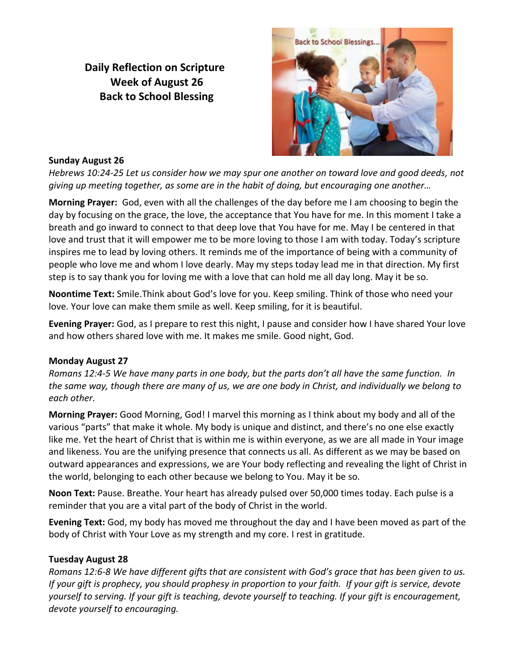**Daily Reflection on Scripture Week of August 26 Back to School Blessing**



### **Sunday August 26**

*Hebrews 10:24-25 Let us consider how we may spur one another on toward love and good deeds, not giving up meeting together, as some are in the habit of doing, but encouraging one another…*

**Morning Prayer:** God, even with all the challenges of the day before me I am choosing to begin the day by focusing on the grace, the love, the acceptance that You have for me. In this moment I take a breath and go inward to connect to that deep love that You have for me. May I be centered in that love and trust that it will empower me to be more loving to those I am with today. Today's scripture inspires me to lead by loving others. It reminds me of the importance of being with a community of people who love me and whom I love dearly. May my steps today lead me in that direction. My first step is to say thank you for loving me with a love that can hold me all day long. May it be so.

**Noontime Text:** Smile.Think about God's love for you. Keep smiling. Think of those who need your love. Your love can make them smile as well. Keep smiling, for it is beautiful.

**Evening Prayer:** God, as I prepare to rest this night, I pause and consider how I have shared Your love and how others shared love with me. It makes me smile. Good night, God.

# **Monday August 27**

*Romans 12:4-5 We have many parts in one body, but the parts don't all have the same function. In the same way, though there are many of us, we are one body in Christ, and individually we belong to each other.*

**Morning Prayer:** Good Morning, God! I marvel this morning as I think about my body and all of the various "parts" that make it whole. My body is unique and distinct, and there's no one else exactly like me. Yet the heart of Christ that is within me is within everyone, as we are all made in Your image and likeness. You are the unifying presence that connects us all. As different as we may be based on outward appearances and expressions, we are Your body reflecting and revealing the light of Christ in the world, belonging to each other because we belong to You. May it be so.

**Noon Text:** Pause. Breathe. Your heart has already pulsed over 50,000 times today. Each pulse is a reminder that you are a vital part of the body of Christ in the world.

**Evening Text:** God, my body has moved me throughout the day and I have been moved as part of the body of Christ with Your Love as my strength and my core. I rest in gratitude.

### **Tuesday August 28**

*Romans 12:6-8 We have different gifts that are consistent with God's grace that has been given to us. If your gift is prophecy, you should prophesy in proportion to your faith. If your gift is service, devote yourself to serving. If your gift is teaching, devote yourself to teaching. If your gift is encouragement, devote yourself to encouraging.*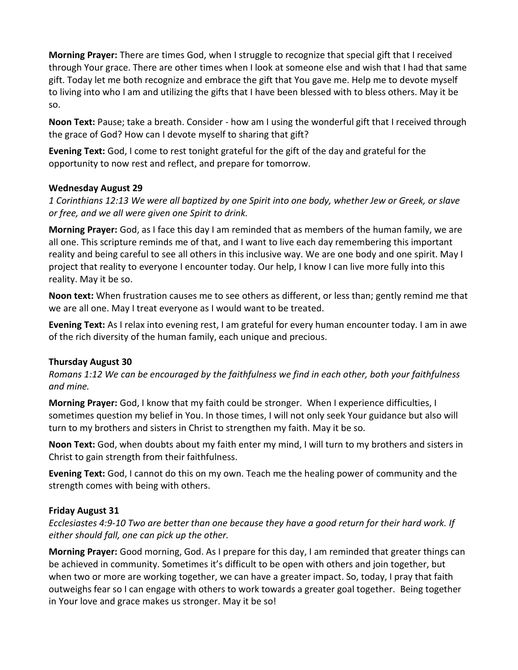**Morning Prayer:** There are times God, when I struggle to recognize that special gift that I received through Your grace. There are other times when I look at someone else and wish that I had that same gift. Today let me both recognize and embrace the gift that You gave me. Help me to devote myself to living into who I am and utilizing the gifts that I have been blessed with to bless others. May it be so.

**Noon Text:** Pause; take a breath. Consider - how am I using the wonderful gift that I received through the grace of God? How can I devote myself to sharing that gift?

**Evening Text:** God, I come to rest tonight grateful for the gift of the day and grateful for the opportunity to now rest and reflect, and prepare for tomorrow.

# **Wednesday August 29**

*1 Corinthians 12:13 We were all baptized by one Spirit into one body, whether Jew or Greek, or slave or free, and we all were given one Spirit to drink.*

**Morning Prayer:** God, as I face this day I am reminded that as members of the human family, we are all one. This scripture reminds me of that, and I want to live each day remembering this important reality and being careful to see all others in this inclusive way. We are one body and one spirit. May I project that reality to everyone I encounter today. Our help, I know I can live more fully into this reality. May it be so.

**Noon text:** When frustration causes me to see others as different, or less than; gently remind me that we are all one. May I treat everyone as I would want to be treated.

**Evening Text:** As I relax into evening rest, I am grateful for every human encounter today. I am in awe of the rich diversity of the human family, each unique and precious.

# **Thursday August 30**

*Romans 1:12 We can be encouraged by the faithfulness we find in each other, both your faithfulness and mine.*

**Morning Prayer:** God, I know that my faith could be stronger. When I experience difficulties, I sometimes question my belief in You. In those times, I will not only seek Your guidance but also will turn to my brothers and sisters in Christ to strengthen my faith. May it be so.

**Noon Text:** God, when doubts about my faith enter my mind, I will turn to my brothers and sisters in Christ to gain strength from their faithfulness.

**Evening Text:** God, I cannot do this on my own. Teach me the healing power of community and the strength comes with being with others.

### **Friday August 31**

*Ecclesiastes 4:9-10 Two are better than one because they have a good return for their hard work. If either should fall, one can pick up the other.*

**Morning Prayer:** Good morning, God. As I prepare for this day, I am reminded that greater things can be achieved in community. Sometimes it's difficult to be open with others and join together, but when two or more are working together, we can have a greater impact. So, today, I pray that faith outweighs fear so I can engage with others to work towards a greater goal together. Being together in Your love and grace makes us stronger. May it be so!